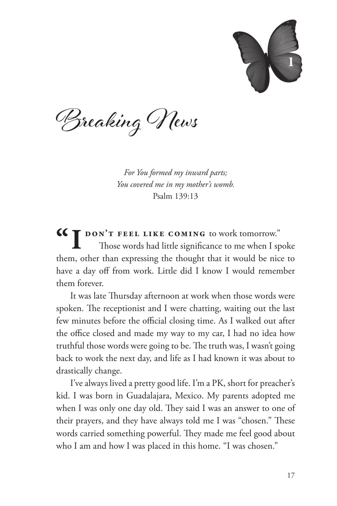

Breaking News

*For You formed my inward parts; You covered me in my mother's womb.* Psalm 139:13

**"I don't feel like coming** to work tomorrow." Those words had little significance to me when I spoke them, other than expressing the thought that it would be nice to have a day off from work. Little did I know I would remember them forever.

It was late Thursday afternoon at work when those words were spoken. The receptionist and I were chatting, waiting out the last few minutes before the official closing time. As I walked out after the office closed and made my way to my car, I had no idea how truthful those words were going to be. The truth was, I wasn't going back to work the next day, and life as I had known it was about to drastically change.

I've always lived a pretty good life. I'm a PK, short for preacher's kid. I was born in Guadalajara, Mexico. My parents adopted me when I was only one day old. They said I was an answer to one of their prayers, and they have always told me I was "chosen." These words carried something powerful. They made me feel good about who I am and how I was placed in this home. "I was chosen."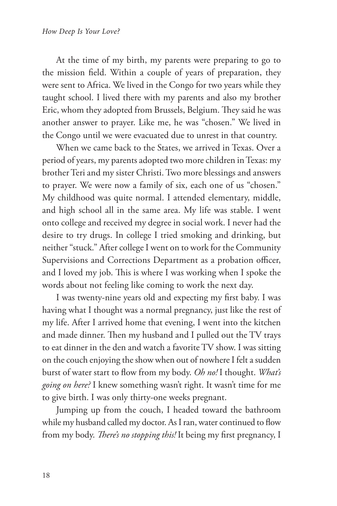At the time of my birth, my parents were preparing to go to the mission field. Within a couple of years of preparation, they were sent to Africa. We lived in the Congo for two years while they taught school. I lived there with my parents and also my brother Eric, whom they adopted from Brussels, Belgium. They said he was another answer to prayer. Like me, he was "chosen." We lived in the Congo until we were evacuated due to unrest in that country.

When we came back to the States, we arrived in Texas. Over a period of years, my parents adopted two more children in Texas: my brother Teri and my sister Christi. Two more blessings and answers to prayer. We were now a family of six, each one of us "chosen." My childhood was quite normal. I attended elementary, middle, and high school all in the same area. My life was stable. I went onto college and received my degree in social work. I never had the desire to try drugs. In college I tried smoking and drinking, but neither "stuck." After college I went on to work for the Community Supervisions and Corrections Department as a probation officer, and I loved my job. This is where I was working when I spoke the words about not feeling like coming to work the next day.

I was twenty-nine years old and expecting my first baby. I was having what I thought was a normal pregnancy, just like the rest of my life. After I arrived home that evening, I went into the kitchen and made dinner. Then my husband and I pulled out the TV trays to eat dinner in the den and watch a favorite TV show. I was sitting on the couch enjoying the show when out of nowhere I felt a sudden burst of water start to flow from my body. *Oh no!* I thought. *What's going on here?* I knew something wasn't right. It wasn't time for me to give birth. I was only thirty-one weeks pregnant.

Jumping up from the couch, I headed toward the bathroom while my husband called my doctor. As I ran, water continued to flow from my body. *There's no stopping this!* It being my first pregnancy, I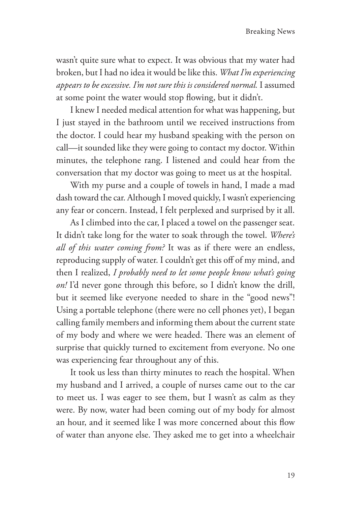wasn't quite sure what to expect. It was obvious that my water had broken, but I had no idea it would be like this. *What I'm experiencing appears to be excessive. I'm not sure this is considered normal.* I assumed at some point the water would stop flowing, but it didn't.

I knew I needed medical attention for what was happening, but I just stayed in the bathroom until we received instructions from the doctor. I could hear my husband speaking with the person on call—it sounded like they were going to contact my doctor. Within minutes, the telephone rang. I listened and could hear from the conversation that my doctor was going to meet us at the hospital.

With my purse and a couple of towels in hand, I made a mad dash toward the car. Although I moved quickly, I wasn't experiencing any fear or concern. Instead, I felt perplexed and surprised by it all.

As I climbed into the car, I placed a towel on the passenger seat. It didn't take long for the water to soak through the towel. *Where's all of this water coming from?* It was as if there were an endless, reproducing supply of water. I couldn't get this off of my mind, and then I realized, *I probably need to let some people know what's going on!* I'd never gone through this before, so I didn't know the drill, but it seemed like everyone needed to share in the "good news"! Using a portable telephone (there were no cell phones yet), I began calling family members and informing them about the current state of my body and where we were headed. There was an element of surprise that quickly turned to excitement from everyone. No one was experiencing fear throughout any of this.

It took us less than thirty minutes to reach the hospital. When my husband and I arrived, a couple of nurses came out to the car to meet us. I was eager to see them, but I wasn't as calm as they were. By now, water had been coming out of my body for almost an hour, and it seemed like I was more concerned about this flow of water than anyone else. They asked me to get into a wheelchair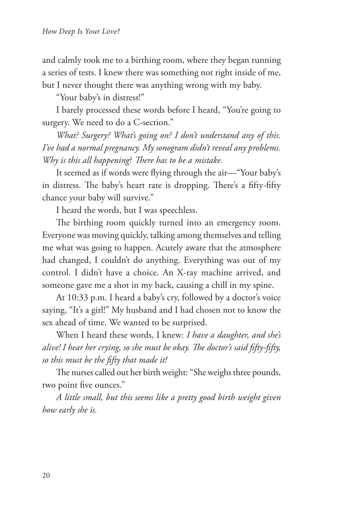and calmly took me to a birthing room, where they began running a series of tests. I knew there was something not right inside of me, but I never thought there was anything wrong with my baby.

"Your baby's in distress!"

I barely processed these words before I heard, "You're going to surgery. We need to do a C-section."

*What? Surgery? What's going on? I don't understand any of this. I've had a normal pregnancy. My sonogram didn't reveal any problems. Why is this all happening*? *There has to be a mistake.*

It seemed as if words were flying through the air—"Your baby's in distress. The baby's heart rate is dropping. There's a fifty-fifty chance your baby will survive."

I heard the words, but I was speechless.

The birthing room quickly turned into an emergency room. Everyone was moving quickly, talking among themselves and telling me what was going to happen. Acutely aware that the atmosphere had changed, I couldn't do anything. Everything was out of my control. I didn't have a choice. An X-ray machine arrived, and someone gave me a shot in my back, causing a chill in my spine.

At 10:33 p.m. I heard a baby's cry, followed by a doctor's voice saying, "It's a girl!" My husband and I had chosen not to know the sex ahead of time. We wanted to be surprised.

When I heard these words, I knew: *I have a daughter, and she's alive! I hear her crying, so she must be okay. The doctor's said fifty-fifty, so this must be the fifty that made it!*

The nurses called out her birth weight: "She weighs three pounds, two point five ounces."

*A little small, but this seems like a pretty good birth weight given how early she is.*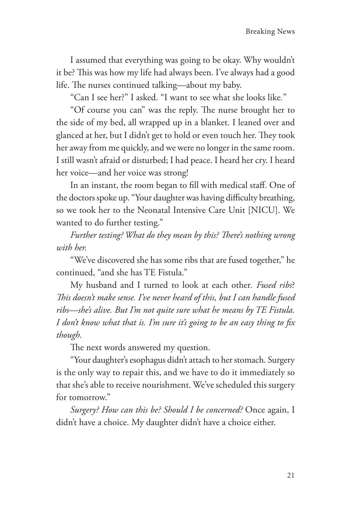I assumed that everything was going to be okay. Why wouldn't it be? This was how my life had always been. I've always had a good life. The nurses continued talking—about my baby.

"Can I see her?" I asked. "I want to see what she looks like*.*"

"Of course you can" was the reply. The nurse brought her to the side of my bed, all wrapped up in a blanket. I leaned over and glanced at her, but I didn't get to hold or even touch her. They took her away from me quickly, and we were no longer in the same room. I still wasn't afraid or disturbed; I had peace. I heard her cry. I heard her voice—and her voice was strong!

In an instant, the room began to fill with medical staff. One of the doctors spoke up. "Your daughter was having difficulty breathing, so we took her to the Neonatal Intensive Care Unit [NICU]. We wanted to do further testing."

*Further testing? What do they mean by this? There's nothing wrong with her.*

"We've discovered she has some ribs that are fused together," he continued, "and she has TE Fistula."

My husband and I turned to look at each other*. Fused ribs*? *This doesn't make sense. I've never heard of this, but I can handle fused ribs—she's alive. But I'm not quite sure what he means by TE Fistula. I don't know what that is. I'm sure it's going to be an easy thing to fix though.*

The next words answered my question.

"Your daughter's esophagus didn't attach to her stomach. Surgery is the only way to repair this, and we have to do it immediately so that she's able to receive nourishment. We've scheduled this surgery for tomorrow."

*Surgery? How can this be? Should I be concerned?* Once again, I didn't have a choice. My daughter didn't have a choice either.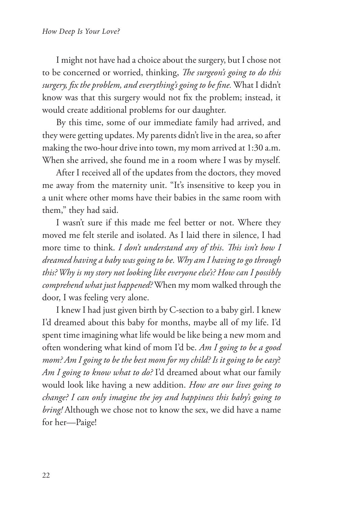I might not have had a choice about the surgery, but I chose not to be concerned or worried, thinking, *The surgeon's going to do this surgery, fix the problem, and everything's going to be fine.* What I didn't know was that this surgery would not fix the problem; instead, it would create additional problems for our daughter.

By this time, some of our immediate family had arrived, and they were getting updates. My parents didn't live in the area, so after making the two-hour drive into town, my mom arrived at 1:30 a.m. When she arrived, she found me in a room where I was by myself.

After I received all of the updates from the doctors, they moved me away from the maternity unit. "It's insensitive to keep you in a unit where other moms have their babies in the same room with them," they had said.

I wasn't sure if this made me feel better or not. Where they moved me felt sterile and isolated. As I laid there in silence, I had more time to think. *I don't understand any of this*. *This isn't how I dreamed having a baby was going to be. Why am I having to go through this? Why is my story not looking like everyone else's? How can I possibly comprehend what just happened?* When my mom walked through the door, I was feeling very alone.

I knew I had just given birth by C-section to a baby girl. I knew I'd dreamed about this baby for months, maybe all of my life. I'd spent time imagining what life would be like being a new mom and often wondering what kind of mom I'd be. *Am I going to be a good mom? Am I going to be the best mom for my child? Is it going to be easy*? *Am I going to know what to do?* I'd dreamed about what our family would look like having a new addition. *How are our lives going to change? I can only imagine the joy and happiness this baby's going to bring!* Although we chose not to know the sex, we did have a name for her—Paige!